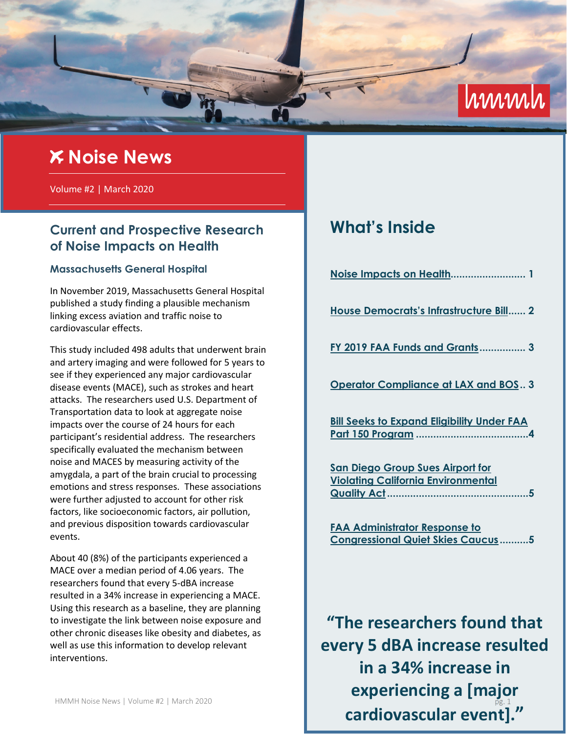

# **Noise News**

Volume #2 | March 2020

## **Current and Prospective Research of Noise Impacts on Health**

### **Massachusetts General Hospital**

In November 2019, Massachusetts General Hospital published a study finding a plausible mechanism linking excess aviation and traffic noise to cardiovascular effects.

This study included 498 adults that underwent brain and artery imaging and were followed for 5 years to see if they experienced any major cardiovascular disease events (MACE), such as strokes and heart attacks. The researchers used U.S. Department of Transportation data to look at aggregate noise impacts over the course of 24 hours for each participant's residential address. The researchers specifically evaluated the mechanism between noise and MACES by measuring activity of the amygdala, a part of the brain crucial to processing emotions and stress responses. These associations were further adjusted to account for other risk factors, like socioeconomic factors, air pollution, and previous disposition towards cardiovascular events.

About 40 (8%) of the participants experienced a MACE over a median period of 4.06 years. The researchers found that every 5-dBA increase resulted in a 34% increase in experiencing a MACE. Using this research as a baseline, they are planning to investigate the link between noise exposure and other chronic diseases like obesity and diabetes, as well as use this information to develop relevant interventions.

# **What's Inside**

| House Democrats's Infrastructure Bill 2           |
|---------------------------------------------------|
| FY 2019 FAA Funds and Grants 3                    |
| <b>Operator Compliance at LAX and BOS 3</b>       |
| <b>Bill Seeks to Expand Eligibility Under FAA</b> |

**San Diego Group Sues Airport for Violating California Environmental Quality Act .................................................5** 

**FAA Administrator Response to Congressional Quiet Skies Caucus ..........5** 

**"The researchers found that every 5 dBA increase resulted in a 34% increase in experiencing a [major cardiovascular event]."**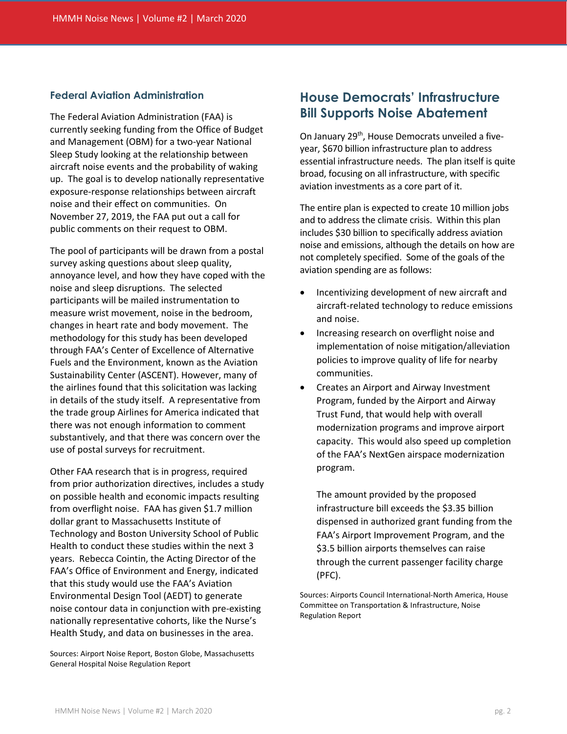### **Federal Aviation Administration**

The Federal Aviation Administration (FAA) is currently seeking funding from the Office of Budget and Management (OBM) for a two-year National Sleep Study looking at the relationship between aircraft noise events and the probability of waking up. The goal is to develop nationally representative exposure-response relationships between aircraft noise and their effect on communities. On November 27, 2019, the FAA put out a call for public comments on their request to OBM.

The pool of participants will be drawn from a postal survey asking questions about sleep quality, annoyance level, and how they have coped with the noise and sleep disruptions. The selected participants will be mailed instrumentation to measure wrist movement, noise in the bedroom, changes in heart rate and body movement. The methodology for this study has been developed through FAA's Center of Excellence of Alternative Fuels and the Environment, known as the Aviation Sustainability Center (ASCENT). However, many of the airlines found that this solicitation was lacking in details of the study itself. A representative from the trade group Airlines for America indicated that there was not enough information to comment substantively, and that there was concern over the use of postal surveys for recruitment.

Other FAA research that is in progress, required from prior authorization directives, includes a study on possible health and economic impacts resulting from overflight noise. FAA has given \$1.7 million dollar grant to Massachusetts Institute of Technology and Boston University School of Public Health to conduct these studies within the next 3 years. Rebecca Cointin, the Acting Director of the FAA's Office of Environment and Energy, indicated that this study would use the FAA's Aviation Environmental Design Tool (AEDT) to generate noise contour data in conjunction with pre-existing nationally representative cohorts, like the Nurse's Health Study, and data on businesses in the area.

Sources: Airport Noise Report, Boston Globe, Massachusetts General Hospital Noise Regulation Report

### **House Democrats' Infrastructure Bill Supports Noise Abatement**

On January 29<sup>th</sup>, House Democrats unveiled a fiveyear, \$670 billion infrastructure plan to address essential infrastructure needs. The plan itself is quite broad, focusing on all infrastructure, with specific aviation investments as a core part of it.

The entire plan is expected to create 10 million jobs and to address the climate crisis. Within this plan includes \$30 billion to specifically address aviation noise and emissions, although the details on how are not completely specified. Some of the goals of the aviation spending are as follows:

- Incentivizing development of new aircraft and aircraft-related technology to reduce emissions and noise.
- Increasing research on overflight noise and implementation of noise mitigation/alleviation policies to improve quality of life for nearby communities.
- Creates an Airport and Airway Investment Program, funded by the Airport and Airway Trust Fund, that would help with overall modernization programs and improve airport capacity. This would also speed up completion of the FAA's NextGen airspace modernization program.

The amount provided by the proposed infrastructure bill exceeds the \$3.35 billion dispensed in authorized grant funding from the FAA's Airport Improvement Program, and the \$3.5 billion airports themselves can raise through the current passenger facility charge (PFC).

Sources: Airports Council International-North America, House Committee on Transportation & Infrastructure, Noise Regulation Report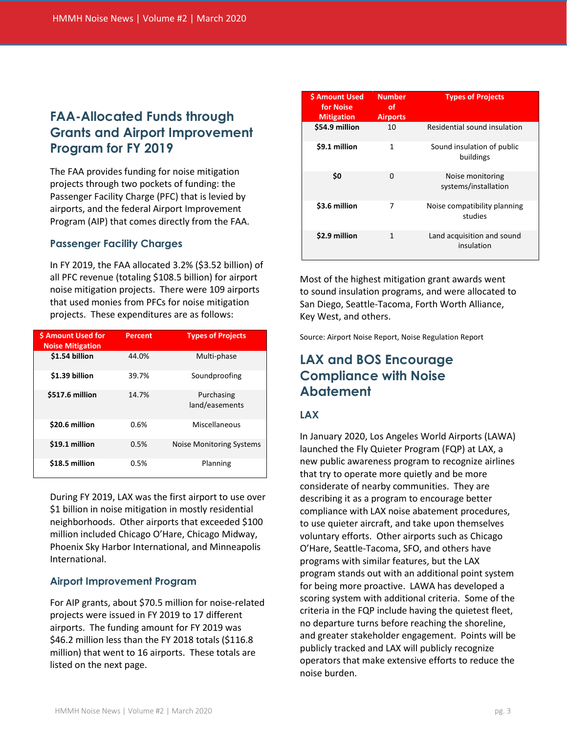## **FAA-Allocated Funds through Grants and Airport Improvement Program for FY 2019**

The FAA provides funding for noise mitigation projects through two pockets of funding: the Passenger Facility Charge (PFC) that is levied by airports, and the federal Airport Improvement Program (AIP) that comes directly from the FAA.

### **Passenger Facility Charges**

In FY 2019, the FAA allocated 3.2% (\$3.52 billion) of all PFC revenue (totaling \$108.5 billion) for airport noise mitigation projects. There were 109 airports that used monies from PFCs for noise mitigation projects. These expenditures are as follows:

| <b>S Amount Used for</b><br><b>Noise Mitigation</b> | Percent | <b>Types of Projects</b>     |
|-----------------------------------------------------|---------|------------------------------|
| \$1.54 billion                                      | 44.0%   | Multi-phase                  |
| \$1.39 billion                                      | 39.7%   | Soundproofing                |
| \$517.6 million                                     | 14.7%   | Purchasing<br>land/easements |
| \$20.6 million                                      | 0.6%    | Miscellaneous                |
| \$19.1 million                                      | 0.5%    | Noise Monitoring Systems     |
| \$18.5 million                                      | 0.5%    | Planning                     |

During FY 2019, LAX was the first airport to use over \$1 billion in noise mitigation in mostly residential neighborhoods. Other airports that exceeded \$100 million included Chicago O'Hare, Chicago Midway, Phoenix Sky Harbor International, and Minneapolis International.

### **Airport Improvement Program**

For AIP grants, about \$70.5 million for noise-related projects were issued in FY 2019 to 17 different airports. The funding amount for FY 2019 was \$46.2 million less than the FY 2018 totals (\$116.8 million) that went to 16 airports. These totals are listed on the next page.

| \$ Amount Used<br>for Noise<br><b>Mitigation</b> | <b>Number</b><br>οf<br><b>Airports</b> | <b>Types of Projects</b>                 |
|--------------------------------------------------|----------------------------------------|------------------------------------------|
| \$54.9 million                                   | 10                                     | Residential sound insulation             |
| \$9.1 million                                    | 1                                      | Sound insulation of public<br>buildings  |
| \$0                                              | O                                      | Noise monitoring<br>systems/installation |
| \$3.6 million                                    | 7                                      | Noise compatibility planning<br>studies  |
| \$2.9 million                                    | 1                                      | Land acquisition and sound<br>insulation |

Most of the highest mitigation grant awards went to sound insulation programs, and were allocated to San Diego, Seattle-Tacoma, Forth Worth Alliance, Key West, and others.

Source: Airport Noise Report, Noise Regulation Report

### **LAX and BOS Encourage Compliance with Noise Abatement**

### **LAX**

In January 2020, Los Angeles World Airports (LAWA) launched the Fly Quieter Program (FQP) at LAX, a new public awareness program to recognize airlines that try to operate more quietly and be more considerate of nearby communities. They are describing it as a program to encourage better compliance with LAX noise abatement procedures, to use quieter aircraft, and take upon themselves voluntary efforts. Other airports such as Chicago O'Hare, Seattle-Tacoma, SFO, and others have programs with similar features, but the LAX program stands out with an additional point system for being more proactive. LAWA has developed a scoring system with additional criteria. Some of the criteria in the FQP include having the quietest fleet, no departure turns before reaching the shoreline, and greater stakeholder engagement. Points will be publicly tracked and LAX will publicly recognize operators that make extensive efforts to reduce the noise burden.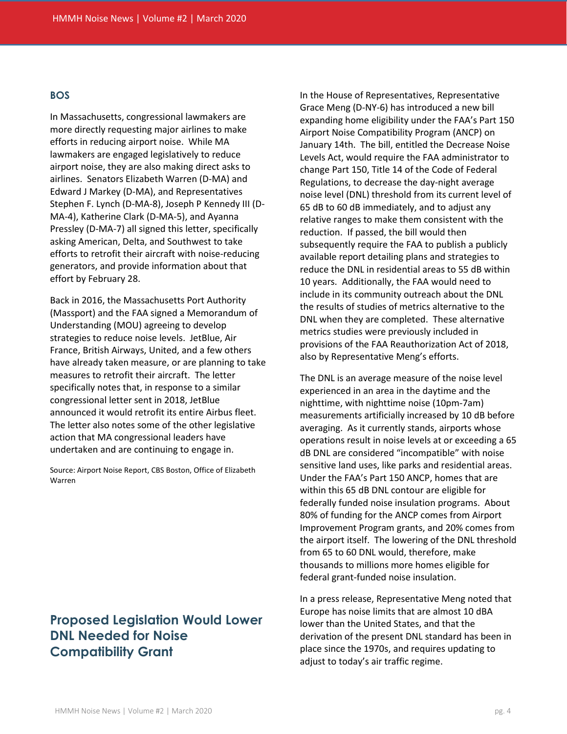#### **BOS**

In Massachusetts, congressional lawmakers are more directly requesting major airlines to make efforts in reducing airport noise. While MA lawmakers are engaged legislatively to reduce airport noise, they are also making direct asks to airlines. Senators Elizabeth Warren (D-MA) and Edward J Markey (D-MA), and Representatives Stephen F. Lynch (D-MA-8), Joseph P Kennedy III (D-MA-4), Katherine Clark (D-MA-5), and Ayanna Pressley (D-MA-7) all signed this letter, specifically asking American, Delta, and Southwest to take efforts to retrofit their aircraft with noise-reducing generators, and provide information about that effort by February 28.

Back in 2016, the Massachusetts Port Authority (Massport) and the FAA signed a Memorandum of Understanding (MOU) agreeing to develop strategies to reduce noise levels. JetBlue, Air France, British Airways, United, and a few others have already taken measure, or are planning to take measures to retrofit their aircraft. The letter specifically notes that, in response to a similar congressional letter sent in 2018, JetBlue announced it would retrofit its entire Airbus fleet. The letter also notes some of the other legislative action that MA congressional leaders have undertaken and are continuing to engage in.

Source: Airport Noise Report, CBS Boston, Office of Elizabeth Warren

## **Proposed Legislation Would Lower DNL Needed for Noise Compatibility Grant**

In the House of Representatives, Representative Grace Meng (D-NY-6) has introduced a new bill expanding home eligibility under the FAA's Part 150 Airport Noise Compatibility Program (ANCP) on January 14th. The bill, entitled the Decrease Noise Levels Act, would require the FAA administrator to change Part 150, Title 14 of the Code of Federal Regulations, to decrease the day-night average noise level (DNL) threshold from its current level of 65 dB to 60 dB immediately, and to adjust any relative ranges to make them consistent with the reduction. If passed, the bill would then subsequently require the FAA to publish a publicly available report detailing plans and strategies to reduce the DNL in residential areas to 55 dB within 10 years. Additionally, the FAA would need to include in its community outreach about the DNL the results of studies of metrics alternative to the DNL when they are completed. These alternative metrics studies were previously included in provisions of the FAA Reauthorization Act of 2018, also by Representative Meng's efforts.

The DNL is an average measure of the noise level experienced in an area in the daytime and the nighttime, with nighttime noise (10pm-7am) measurements artificially increased by 10 dB before averaging. As it currently stands, airports whose operations result in noise levels at or exceeding a 65 dB DNL are considered "incompatible" with noise sensitive land uses, like parks and residential areas. Under the FAA's Part 150 ANCP, homes that are within this 65 dB DNL contour are eligible for federally funded noise insulation programs. About 80% of funding for the ANCP comes from Airport Improvement Program grants, and 20% comes from the airport itself. The lowering of the DNL threshold from 65 to 60 DNL would, therefore, make thousands to millions more homes eligible for federal grant-funded noise insulation.

In a press release, Representative Meng noted that Europe has noise limits that are almost 10 dBA lower than the United States, and that the derivation of the present DNL standard has been in place since the 1970s, and requires updating to adjust to today's air traffic regime.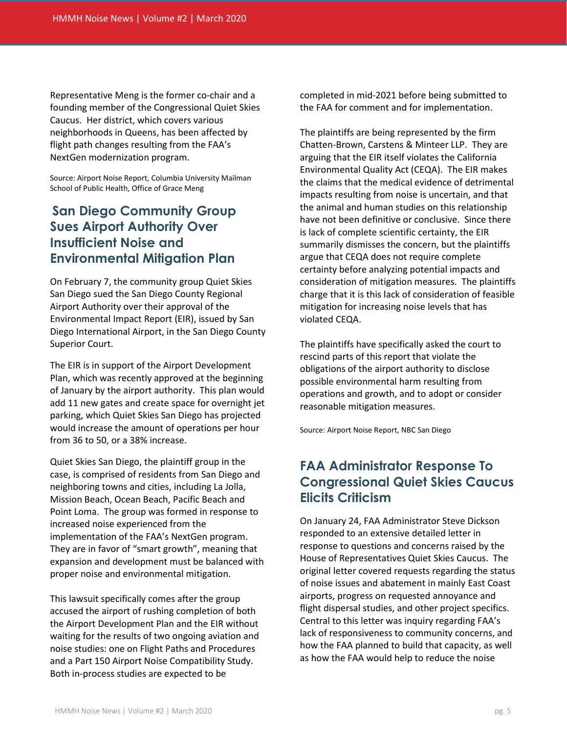Representative Meng is the former co-chair and a founding member of the Congressional Quiet Skies Caucus. Her district, which covers various neighborhoods in Queens, has been affected by flight path changes resulting from the FAA's NextGen modernization program.

Source: Airport Noise Report, Columbia University Mailman School of Public Health, Office of Grace Meng

# **San Diego Community Group Sues Airport Authority Over Insufficient Noise and Environmental Mitigation Plan**

On February 7, the community group Quiet Skies San Diego sued the San Diego County Regional Airport Authority over their approval of the Environmental Impact Report (EIR), issued by San Diego International Airport, in the San Diego County Superior Court.

The EIR is in support of the Airport Development Plan, which was recently approved at the beginning of January by the airport authority. This plan would add 11 new gates and create space for overnight jet parking, which Quiet Skies San Diego has projected would increase the amount of operations per hour from 36 to 50, or a 38% increase.

Quiet Skies San Diego, the plaintiff group in the case, is comprised of residents from San Diego and neighboring towns and cities, including La Jolla, Mission Beach, Ocean Beach, Pacific Beach and Point Loma. The group was formed in response to increased noise experienced from the implementation of the FAA's NextGen program. They are in favor of "smart growth", meaning that expansion and development must be balanced with proper noise and environmental mitigation.

This lawsuit specifically comes after the group accused the airport of rushing completion of both the Airport Development Plan and the EIR without waiting for the results of two ongoing aviation and noise studies: one on Flight Paths and Procedures and a Part 150 Airport Noise Compatibility Study. Both in-process studies are expected to be

completed in mid-2021 before being submitted to the FAA for comment and for implementation.

The plaintiffs are being represented by the firm Chatten-Brown, Carstens & Minteer LLP. They are arguing that the EIR itself violates the California Environmental Quality Act (CEQA). The EIR makes the claims that the medical evidence of detrimental impacts resulting from noise is uncertain, and that the animal and human studies on this relationship have not been definitive or conclusive. Since there is lack of complete scientific certainty, the EIR summarily dismisses the concern, but the plaintiffs argue that CEQA does not require complete certainty before analyzing potential impacts and consideration of mitigation measures. The plaintiffs charge that it is this lack of consideration of feasible mitigation for increasing noise levels that has violated CEQA.

The plaintiffs have specifically asked the court to rescind parts of this report that violate the obligations of the airport authority to disclose possible environmental harm resulting from operations and growth, and to adopt or consider reasonable mitigation measures.

Source: Airport Noise Report, NBC San Diego

# **FAA Administrator Response To Congressional Quiet Skies Caucus Elicits Criticism**

On January 24, FAA Administrator Steve Dickson responded to an extensive detailed letter in response to questions and concerns raised by the House of Representatives Quiet Skies Caucus. The original letter covered requests regarding the status of noise issues and abatement in mainly East Coast airports, progress on requested annoyance and flight dispersal studies, and other project specifics. Central to this letter was inquiry regarding FAA's lack of responsiveness to community concerns, and how the FAA planned to build that capacity, as well as how the FAA would help to reduce the noise